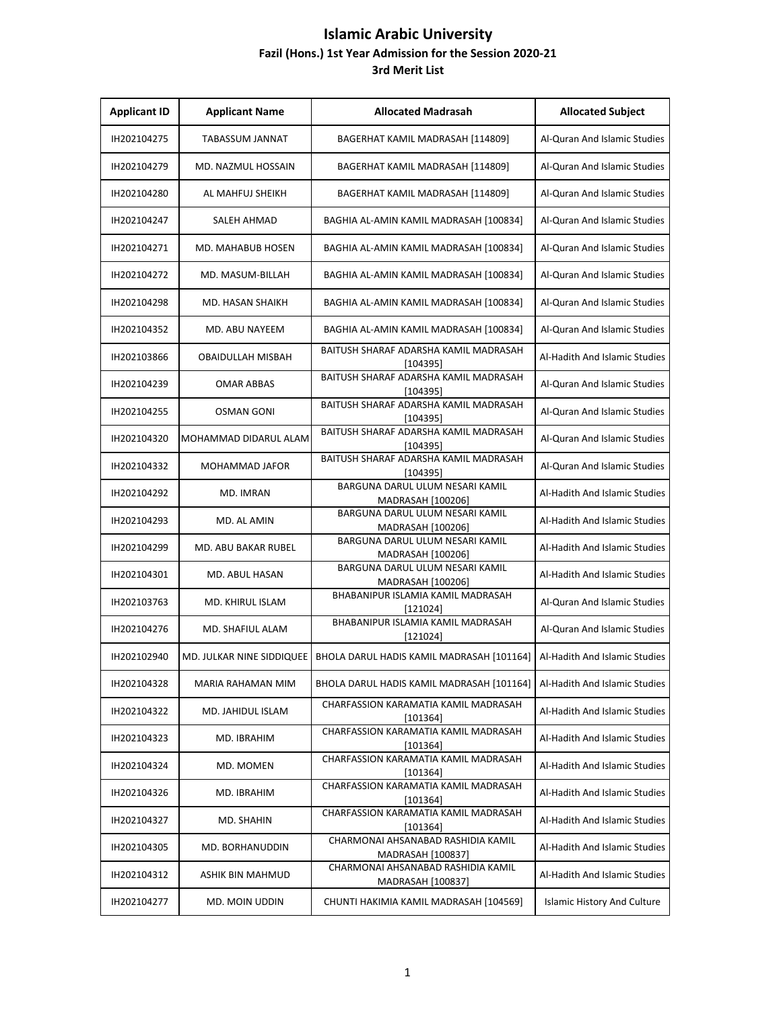| <b>Applicant ID</b> | <b>Applicant Name</b>     | <b>Allocated Madrasah</b>                               | <b>Allocated Subject</b>           |
|---------------------|---------------------------|---------------------------------------------------------|------------------------------------|
| IH202104275         | TABASSUM JANNAT           | BAGERHAT KAMIL MADRASAH [114809]                        | Al-Quran And Islamic Studies       |
| IH202104279         | MD. NAZMUL HOSSAIN        | BAGERHAT KAMIL MADRASAH [114809]                        | Al-Quran And Islamic Studies       |
| IH202104280         | AL MAHFUJ SHEIKH          | BAGERHAT KAMIL MADRASAH [114809]                        | Al-Quran And Islamic Studies       |
| IH202104247         | SALEH AHMAD               | BAGHIA AL-AMIN KAMIL MADRASAH [100834]                  | Al-Quran And Islamic Studies       |
| IH202104271         | MD. MAHABUB HOSEN         | BAGHIA AL-AMIN KAMIL MADRASAH [100834]                  | Al-Quran And Islamic Studies       |
| IH202104272         | MD. MASUM-BILLAH          | BAGHIA AL-AMIN KAMIL MADRASAH [100834]                  | Al-Quran And Islamic Studies       |
| IH202104298         | MD. HASAN SHAIKH          | BAGHIA AL-AMIN KAMIL MADRASAH [100834]                  | Al-Quran And Islamic Studies       |
| IH202104352         | MD. ABU NAYEEM            | BAGHIA AL-AMIN KAMIL MADRASAH [100834]                  | Al-Quran And Islamic Studies       |
| IH202103866         | <b>OBAIDULLAH MISBAH</b>  | BAITUSH SHARAF ADARSHA KAMIL MADRASAH<br>[104395]       | Al-Hadith And Islamic Studies      |
| IH202104239         | <b>OMAR ABBAS</b>         | BAITUSH SHARAF ADARSHA KAMIL MADRASAH<br>[104395]       | Al-Quran And Islamic Studies       |
| IH202104255         | <b>OSMAN GONI</b>         | BAITUSH SHARAF ADARSHA KAMIL MADRASAH<br>[104395]       | Al-Quran And Islamic Studies       |
| IH202104320         | MOHAMMAD DIDARUL ALAM     | BAITUSH SHARAF ADARSHA KAMIL MADRASAH<br>[104395]       | Al-Quran And Islamic Studies       |
| IH202104332         | <b>MOHAMMAD JAFOR</b>     | BAITUSH SHARAF ADARSHA KAMIL MADRASAH<br>[104395]       | Al-Quran And Islamic Studies       |
| IH202104292         | MD. IMRAN                 | BARGUNA DARUL ULUM NESARI KAMIL<br>MADRASAH [100206]    | Al-Hadith And Islamic Studies      |
| IH202104293         | MD. AL AMIN               | BARGUNA DARUL ULUM NESARI KAMIL<br>MADRASAH [100206]    | Al-Hadith And Islamic Studies      |
| IH202104299         | MD. ABU BAKAR RUBEL       | BARGUNA DARUL ULUM NESARI KAMIL<br>MADRASAH [100206]    | Al-Hadith And Islamic Studies      |
| IH202104301         | MD. ABUL HASAN            | BARGUNA DARUL ULUM NESARI KAMIL<br>MADRASAH [100206]    | Al-Hadith And Islamic Studies      |
| IH202103763         | MD. KHIRUL ISLAM          | BHABANIPUR ISLAMIA KAMIL MADRASAH<br>[121024]           | Al-Quran And Islamic Studies       |
| IH202104276         | <b>MD. SHAFIUL ALAM</b>   | BHABANIPUR ISLAMIA KAMIL MADRASAH<br>[121024]           | Al-Quran And Islamic Studies       |
| IH202102940         | MD. JULKAR NINE SIDDIQUEE | BHOLA DARUL HADIS KAMIL MADRASAH [101164]               | Al-Hadith And Islamic Studies      |
| IH202104328         | MARIA RAHAMAN MIM         | BHOLA DARUL HADIS KAMIL MADRASAH [101164]               | Al-Hadith And Islamic Studies      |
| IH202104322         | MD. JAHIDUL ISLAM         | CHARFASSION KARAMATIA KAMIL MADRASAH<br>[101364]        | Al-Hadith And Islamic Studies      |
| IH202104323         | MD. IBRAHIM               | CHARFASSION KARAMATIA KAMIL MADRASAH<br>[101364]        | Al-Hadith And Islamic Studies      |
| IH202104324         | MD. MOMEN                 | CHARFASSION KARAMATIA KAMIL MADRASAH<br>[101364]        | Al-Hadith And Islamic Studies      |
| IH202104326         | MD. IBRAHIM               | CHARFASSION KARAMATIA KAMIL MADRASAH<br>[101364]        | Al-Hadith And Islamic Studies      |
| IH202104327         | MD. SHAHIN                | CHARFASSION KARAMATIA KAMIL MADRASAH<br>[101364]        | Al-Hadith And Islamic Studies      |
| IH202104305         | MD. BORHANUDDIN           | CHARMONAI AHSANABAD RASHIDIA KAMIL<br>MADRASAH [100837] | Al-Hadith And Islamic Studies      |
| IH202104312         | ASHIK BIN MAHMUD          | CHARMONAI AHSANABAD RASHIDIA KAMIL<br>MADRASAH [100837] | Al-Hadith And Islamic Studies      |
| IH202104277         | MD. MOIN UDDIN            | CHUNTI HAKIMIA KAMIL MADRASAH [104569]                  | <b>Islamic History And Culture</b> |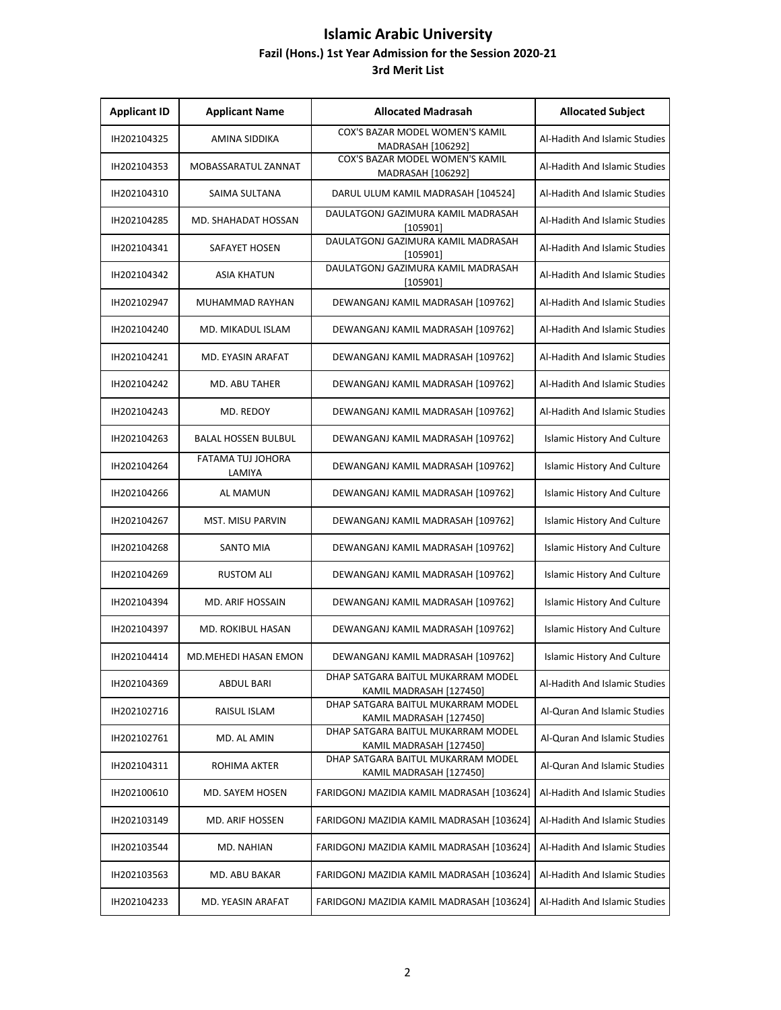| <b>Applicant ID</b> | <b>Applicant Name</b>              | <b>Allocated Madrasah</b>                                     | <b>Allocated Subject</b>           |
|---------------------|------------------------------------|---------------------------------------------------------------|------------------------------------|
| IH202104325         | AMINA SIDDIKA                      | COX'S BAZAR MODEL WOMEN'S KAMIL<br>MADRASAH [106292]          | Al-Hadith And Islamic Studies      |
| IH202104353         | MOBASSARATUL ZANNAT                | COX'S BAZAR MODEL WOMEN'S KAMIL<br>MADRASAH [106292]          | Al-Hadith And Islamic Studies      |
| IH202104310         | SAIMA SULTANA                      | DARUL ULUM KAMIL MADRASAH [104524]                            | Al-Hadith And Islamic Studies      |
| IH202104285         | <b>MD. SHAHADAT HOSSAN</b>         | DAULATGONJ GAZIMURA KAMIL MADRASAH<br>[105901]                | Al-Hadith And Islamic Studies      |
| IH202104341         | SAFAYET HOSEN                      | DAULATGONJ GAZIMURA KAMIL MADRASAH<br>[105901]                | Al-Hadith And Islamic Studies      |
| IH202104342         | <b>ASIA KHATUN</b>                 | DAULATGONJ GAZIMURA KAMIL MADRASAH<br>[105901]                | Al-Hadith And Islamic Studies      |
| IH202102947         | MUHAMMAD RAYHAN                    | DEWANGANJ KAMIL MADRASAH [109762]                             | Al-Hadith And Islamic Studies      |
| IH202104240         | <b>MD. MIKADUL ISLAM</b>           | DEWANGANJ KAMIL MADRASAH [109762]                             | Al-Hadith And Islamic Studies      |
| IH202104241         | MD. EYASIN ARAFAT                  | DEWANGANJ KAMIL MADRASAH [109762]                             | Al-Hadith And Islamic Studies      |
| IH202104242         | <b>MD. ABU TAHER</b>               | DEWANGANJ KAMIL MADRASAH [109762]                             | Al-Hadith And Islamic Studies      |
| IH202104243         | MD. REDOY                          | DEWANGANJ KAMIL MADRASAH [109762]                             | Al-Hadith And Islamic Studies      |
| IH202104263         | <b>BALAL HOSSEN BULBUL</b>         | DEWANGANJ KAMIL MADRASAH [109762]                             | <b>Islamic History And Culture</b> |
| IH202104264         | <b>FATAMA TUJ JOHORA</b><br>LAMIYA | DEWANGANJ KAMIL MADRASAH [109762]                             | <b>Islamic History And Culture</b> |
| IH202104266         | AL MAMUN                           | DEWANGANJ KAMIL MADRASAH [109762]                             | <b>Islamic History And Culture</b> |
| IH202104267         | <b>MST. MISU PARVIN</b>            | DEWANGANJ KAMIL MADRASAH [109762]                             | <b>Islamic History And Culture</b> |
| IH202104268         | <b>SANTO MIA</b>                   | DEWANGANJ KAMIL MADRASAH [109762]                             | <b>Islamic History And Culture</b> |
| IH202104269         | <b>RUSTOM ALI</b>                  | DEWANGANJ KAMIL MADRASAH [109762]                             | <b>Islamic History And Culture</b> |
| IH202104394         | MD. ARIF HOSSAIN                   | DEWANGANJ KAMIL MADRASAH [109762]                             | <b>Islamic History And Culture</b> |
| IH202104397         | <b>MD. ROKIBUL HASAN</b>           | DEWANGANJ KAMIL MADRASAH [109762]                             | <b>Islamic History And Culture</b> |
| IH202104414         | MD.MEHEDI HASAN EMON               | DEWANGANJ KAMIL MADRASAH [109762]                             | <b>Islamic History And Culture</b> |
| IH202104369         | ABDUL BARI                         | DHAP SATGARA BAITUL MUKARRAM MODEL<br>KAMIL MADRASAH [127450] | Al-Hadith And Islamic Studies      |
| IH202102716         | RAISUL ISLAM                       | DHAP SATGARA BAITUL MUKARRAM MODEL<br>KAMIL MADRASAH [127450] | Al-Quran And Islamic Studies       |
| IH202102761         | MD. AL AMIN                        | DHAP SATGARA BAITUL MUKARRAM MODEL<br>KAMIL MADRASAH [127450] | Al-Quran And Islamic Studies       |
| IH202104311         | ROHIMA AKTER                       | DHAP SATGARA BAITUL MUKARRAM MODEL<br>KAMIL MADRASAH [127450] | Al-Quran And Islamic Studies       |
| IH202100610         | MD. SAYEM HOSEN                    | FARIDGONJ MAZIDIA KAMIL MADRASAH [103624]                     | Al-Hadith And Islamic Studies      |
| IH202103149         | MD. ARIF HOSSEN                    | FARIDGONJ MAZIDIA KAMIL MADRASAH [103624]                     | Al-Hadith And Islamic Studies      |
| IH202103544         | MD. NAHIAN                         | FARIDGONJ MAZIDIA KAMIL MADRASAH [103624]                     | Al-Hadith And Islamic Studies      |
| IH202103563         | MD. ABU BAKAR                      | FARIDGONJ MAZIDIA KAMIL MADRASAH [103624]                     | Al-Hadith And Islamic Studies      |
| IH202104233         | MD. YEASIN ARAFAT                  | FARIDGONJ MAZIDIA KAMIL MADRASAH [103624]                     | Al-Hadith And Islamic Studies      |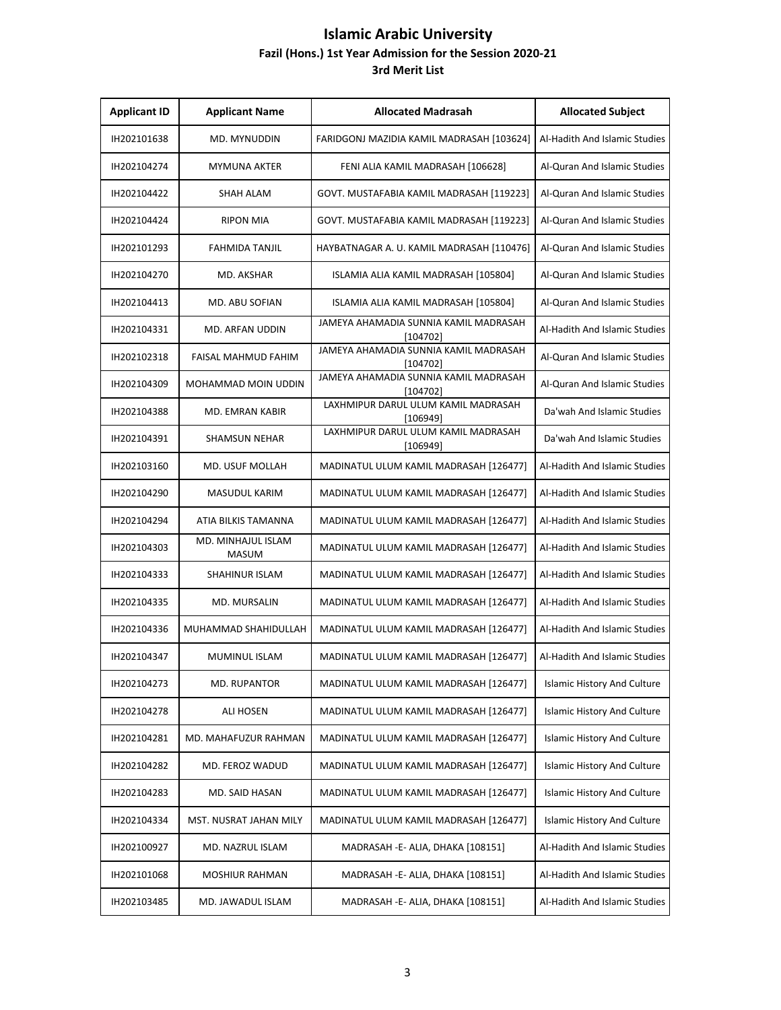| <b>Applicant ID</b> | <b>Applicant Name</b>              | <b>Allocated Madrasah</b>                         | <b>Allocated Subject</b>           |
|---------------------|------------------------------------|---------------------------------------------------|------------------------------------|
| IH202101638         | MD. MYNUDDIN                       | FARIDGONJ MAZIDIA KAMIL MADRASAH [103624]         | Al-Hadith And Islamic Studies      |
| IH202104274         | MYMUNA AKTER                       | FENI ALIA KAMIL MADRASAH [106628]                 | Al-Quran And Islamic Studies       |
| IH202104422         | SHAH ALAM                          | GOVT. MUSTAFABIA KAMIL MADRASAH [119223]          | Al-Quran And Islamic Studies       |
| IH202104424         | <b>RIPON MIA</b>                   | GOVT. MUSTAFABIA KAMIL MADRASAH [119223]          | Al-Quran And Islamic Studies       |
| IH202101293         | <b>FAHMIDA TANJIL</b>              | HAYBATNAGAR A. U. KAMIL MADRASAH [110476]         | Al-Quran And Islamic Studies       |
| IH202104270         | MD. AKSHAR                         | ISLAMIA ALIA KAMIL MADRASAH [105804]              | Al-Quran And Islamic Studies       |
| IH202104413         | MD. ABU SOFIAN                     | ISLAMIA ALIA KAMIL MADRASAH [105804]              | Al-Quran And Islamic Studies       |
| IH202104331         | MD. ARFAN UDDIN                    | JAMEYA AHAMADIA SUNNIA KAMIL MADRASAH<br>[104702] | Al-Hadith And Islamic Studies      |
| IH202102318         | FAISAL MAHMUD FAHIM                | JAMEYA AHAMADIA SUNNIA KAMIL MADRASAH<br>[104702] | Al-Quran And Islamic Studies       |
| IH202104309         | MOHAMMAD MOIN UDDIN                | JAMEYA AHAMADIA SUNNIA KAMIL MADRASAH<br>[104702] | Al-Quran And Islamic Studies       |
| IH202104388         | <b>MD. EMRAN KABIR</b>             | LAXHMIPUR DARUL ULUM KAMIL MADRASAH<br>[106949]   | Da'wah And Islamic Studies         |
| IH202104391         | <b>SHAMSUN NEHAR</b>               | LAXHMIPUR DARUL ULUM KAMIL MADRASAH<br>[106949]   | Da'wah And Islamic Studies         |
| IH202103160         | <b>MD. USUF MOLLAH</b>             | MADINATUL ULUM KAMIL MADRASAH [126477]            | Al-Hadith And Islamic Studies      |
| IH202104290         | <b>MASUDUL KARIM</b>               | MADINATUL ULUM KAMIL MADRASAH [126477]            | Al-Hadith And Islamic Studies      |
| IH202104294         | ATIA BILKIS TAMANNA                | MADINATUL ULUM KAMIL MADRASAH [126477]            | Al-Hadith And Islamic Studies      |
| IH202104303         | MD. MINHAJUL ISLAM<br><b>MASUM</b> | MADINATUL ULUM KAMIL MADRASAH [126477]            | Al-Hadith And Islamic Studies      |
| IH202104333         | SHAHINUR ISLAM                     | MADINATUL ULUM KAMIL MADRASAH [126477]            | Al-Hadith And Islamic Studies      |
| IH202104335         | MD. MURSALIN                       | MADINATUL ULUM KAMIL MADRASAH [126477]            | Al-Hadith And Islamic Studies      |
| IH202104336         | MUHAMMAD SHAHIDULLAH               | MADINATUL ULUM KAMIL MADRASAH [126477]            | Al-Hadith And Islamic Studies      |
| IH202104347         | MUMINUL ISLAM                      | MADINATUL ULUM KAMIL MADRASAH [126477]            | Al-Hadith And Islamic Studies      |
| IH202104273         | MD. RUPANTOR                       | MADINATUL ULUM KAMIL MADRASAH [126477]            | <b>Islamic History And Culture</b> |
| IH202104278         | ALI HOSEN                          | MADINATUL ULUM KAMIL MADRASAH [126477]            | <b>Islamic History And Culture</b> |
| IH202104281         | MD. MAHAFUZUR RAHMAN               | MADINATUL ULUM KAMIL MADRASAH [126477]            | Islamic History And Culture        |
| IH202104282         | MD. FEROZ WADUD                    | MADINATUL ULUM KAMIL MADRASAH [126477]            | <b>Islamic History And Culture</b> |
| IH202104283         | MD. SAID HASAN                     | MADINATUL ULUM KAMIL MADRASAH [126477]            | Islamic History And Culture        |
| IH202104334         | MST. NUSRAT JAHAN MILY             | MADINATUL ULUM KAMIL MADRASAH [126477]            | <b>Islamic History And Culture</b> |
| IH202100927         | MD. NAZRUL ISLAM                   | MADRASAH - E- ALIA, DHAKA [108151]                | Al-Hadith And Islamic Studies      |
| IH202101068         | MOSHIUR RAHMAN                     | MADRASAH - E- ALIA, DHAKA [108151]                | Al-Hadith And Islamic Studies      |
| IH202103485         | MD. JAWADUL ISLAM                  | MADRASAH - E- ALIA, DHAKA [108151]                | Al-Hadith And Islamic Studies      |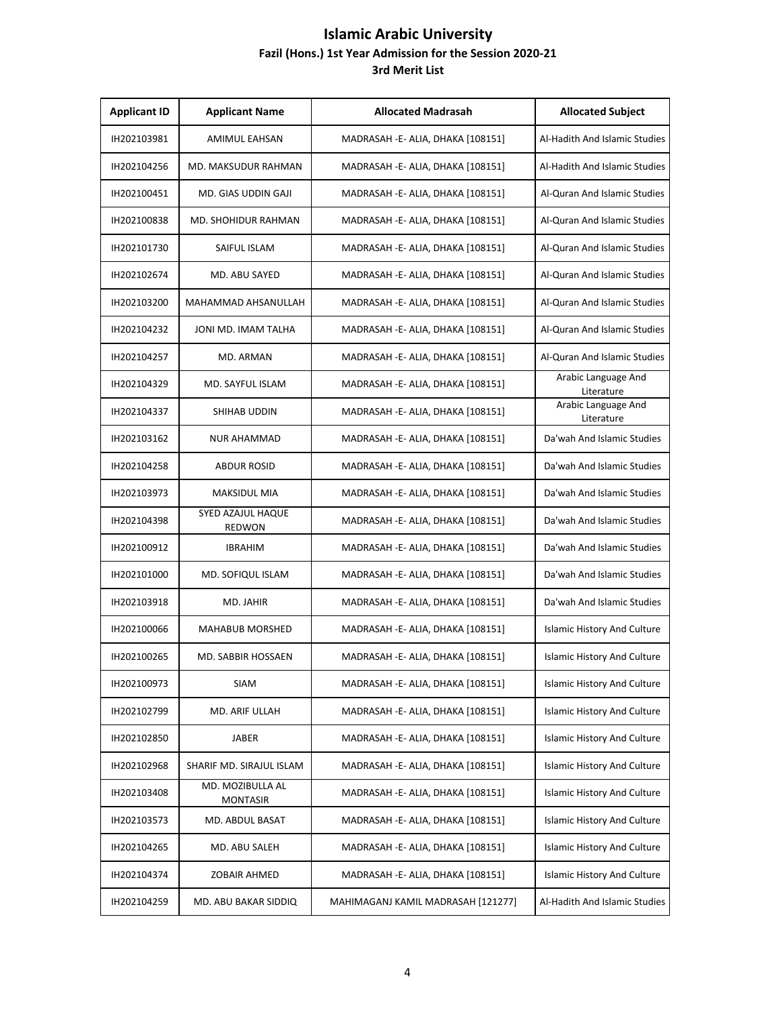| <b>Applicant ID</b> | <b>Applicant Name</b>               | <b>Allocated Madrasah</b>          | <b>Allocated Subject</b>           |
|---------------------|-------------------------------------|------------------------------------|------------------------------------|
| IH202103981         | <b>AMIMUL EAHSAN</b>                | MADRASAH -E- ALIA, DHAKA [108151]  | Al-Hadith And Islamic Studies      |
| IH202104256         | <b>MD. MAKSUDUR RAHMAN</b>          | MADRASAH - E- ALIA, DHAKA [108151] | Al-Hadith And Islamic Studies      |
| IH202100451         | MD. GIAS UDDIN GAJI                 | MADRASAH - E- ALIA, DHAKA [108151] | Al-Quran And Islamic Studies       |
| IH202100838         | MD. SHOHIDUR RAHMAN                 | MADRASAH - E- ALIA, DHAKA [108151] | Al-Quran And Islamic Studies       |
| IH202101730         | SAIFUL ISLAM                        | MADRASAH - E- ALIA, DHAKA [108151] | Al-Quran And Islamic Studies       |
| IH202102674         | MD. ABU SAYED                       | MADRASAH - E- ALIA, DHAKA [108151] | Al-Quran And Islamic Studies       |
| IH202103200         | MAHAMMAD AHSANULLAH                 | MADRASAH -E- ALIA, DHAKA [108151]  | Al-Quran And Islamic Studies       |
| IH202104232         | JONI MD. IMAM TALHA                 | MADRASAH - E- ALIA, DHAKA [108151] | Al-Quran And Islamic Studies       |
| IH202104257         | MD. ARMAN                           | MADRASAH - E- ALIA, DHAKA [108151] | Al-Quran And Islamic Studies       |
| IH202104329         | MD. SAYFUL ISLAM                    | MADRASAH -E- ALIA, DHAKA [108151]  | Arabic Language And<br>Literature  |
| IH202104337         | SHIHAB UDDIN                        | MADRASAH - E- ALIA, DHAKA [108151] | Arabic Language And<br>Literature  |
| IH202103162         | <b>NUR AHAMMAD</b>                  | MADRASAH - E- ALIA, DHAKA [108151] | Da'wah And Islamic Studies         |
| IH202104258         | <b>ABDUR ROSID</b>                  | MADRASAH - E- ALIA, DHAKA [108151] | Da'wah And Islamic Studies         |
| IH202103973         | MAKSIDUL MIA                        | MADRASAH -E- ALIA, DHAKA [108151]  | Da'wah And Islamic Studies         |
| IH202104398         | SYED AZAJUL HAQUE<br><b>REDWON</b>  | MADRASAH -E- ALIA, DHAKA [108151]  | Da'wah And Islamic Studies         |
| IH202100912         | <b>IBRAHIM</b>                      | MADRASAH - E- ALIA, DHAKA [108151] | Da'wah And Islamic Studies         |
| IH202101000         | MD. SOFIQUL ISLAM                   | MADRASAH -E- ALIA, DHAKA [108151]  | Da'wah And Islamic Studies         |
| IH202103918         | MD. JAHIR                           | MADRASAH - E- ALIA, DHAKA [108151] | Da'wah And Islamic Studies         |
| IH202100066         | <b>MAHABUB MORSHED</b>              | MADRASAH -E- ALIA, DHAKA [108151]  | <b>Islamic History And Culture</b> |
| IH202100265         | MD. SABBIR HOSSAEN                  | MADRASAH - E- ALIA, DHAKA [108151] | <b>Islamic History And Culture</b> |
| IH202100973         | <b>SIAM</b>                         | MADRASAH - E- ALIA, DHAKA [108151] | Islamic History And Culture        |
| IH202102799         | MD. ARIF ULLAH                      | MADRASAH - E- ALIA, DHAKA [108151] | Islamic History And Culture        |
| IH202102850         | JABER                               | MADRASAH -E- ALIA, DHAKA [108151]  | Islamic History And Culture        |
| IH202102968         | SHARIF MD. SIRAJUL ISLAM            | MADRASAH - E- ALIA, DHAKA [108151] | <b>Islamic History And Culture</b> |
| IH202103408         | MD. MOZIBULLA AL<br><b>MONTASIR</b> | MADRASAH - E- ALIA, DHAKA [108151] | Islamic History And Culture        |
| IH202103573         | MD. ABDUL BASAT                     | MADRASAH - E- ALIA, DHAKA [108151] | Islamic History And Culture        |
| IH202104265         | MD. ABU SALEH                       | MADRASAH - E- ALIA, DHAKA [108151] | Islamic History And Culture        |
| IH202104374         | ZOBAIR AHMED                        | MADRASAH -E- ALIA, DHAKA [108151]  | Islamic History And Culture        |
| IH202104259         | MD. ABU BAKAR SIDDIQ                | MAHIMAGANJ KAMIL MADRASAH [121277] | Al-Hadith And Islamic Studies      |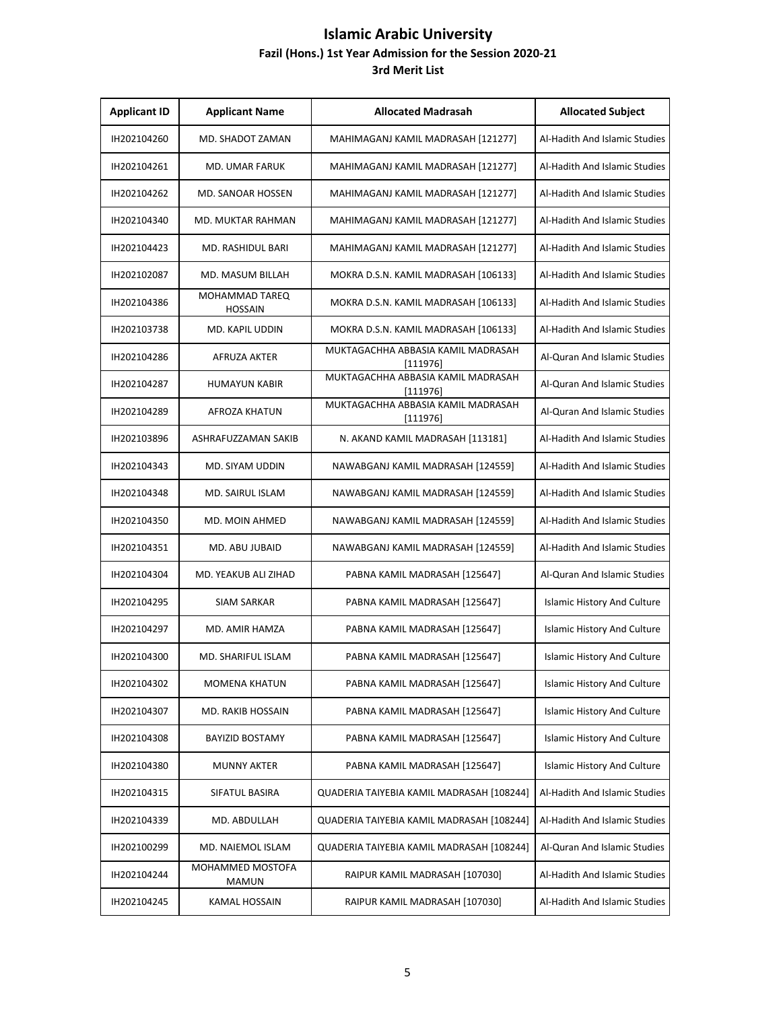| <b>Applicant ID</b> | <b>Applicant Name</b>            | <b>Allocated Madrasah</b>                      | <b>Allocated Subject</b>           |
|---------------------|----------------------------------|------------------------------------------------|------------------------------------|
| IH202104260         | MD. SHADOT ZAMAN                 | MAHIMAGANJ KAMIL MADRASAH [121277]             | Al-Hadith And Islamic Studies      |
| IH202104261         | MD. UMAR FARUK                   | MAHIMAGANJ KAMIL MADRASAH [121277]             | Al-Hadith And Islamic Studies      |
| IH202104262         | <b>MD. SANOAR HOSSEN</b>         | MAHIMAGANJ KAMIL MADRASAH [121277]             | Al-Hadith And Islamic Studies      |
| IH202104340         | MD. MUKTAR RAHMAN                | MAHIMAGANJ KAMIL MADRASAH [121277]             | Al-Hadith And Islamic Studies      |
| IH202104423         | MD. RASHIDUL BARI                | MAHIMAGANJ KAMIL MADRASAH [121277]             | Al-Hadith And Islamic Studies      |
| IH202102087         | MD. MASUM BILLAH                 | MOKRA D.S.N. KAMIL MADRASAH [106133]           | Al-Hadith And Islamic Studies      |
| IH202104386         | MOHAMMAD TAREQ<br><b>HOSSAIN</b> | MOKRA D.S.N. KAMIL MADRASAH [106133]           | Al-Hadith And Islamic Studies      |
| IH202103738         | MD. KAPIL UDDIN                  | MOKRA D.S.N. KAMIL MADRASAH [106133]           | Al-Hadith And Islamic Studies      |
| IH202104286         | AFRUZA AKTER                     | MUKTAGACHHA ABBASIA KAMIL MADRASAH<br>[111976] | Al-Quran And Islamic Studies       |
| IH202104287         | <b>HUMAYUN KABIR</b>             | MUKTAGACHHA ABBASIA KAMIL MADRASAH<br>[111976] | Al-Quran And Islamic Studies       |
| IH202104289         | AFROZA KHATUN                    | MUKTAGACHHA ABBASIA KAMIL MADRASAH<br>[111976] | Al-Quran And Islamic Studies       |
| IH202103896         | ASHRAFUZZAMAN SAKIB              | N. AKAND KAMIL MADRASAH [113181]               | Al-Hadith And Islamic Studies      |
| IH202104343         | MD. SIYAM UDDIN                  | NAWABGANJ KAMIL MADRASAH [124559]              | Al-Hadith And Islamic Studies      |
| IH202104348         | MD. SAIRUL ISLAM                 | NAWABGANJ KAMIL MADRASAH [124559]              | Al-Hadith And Islamic Studies      |
| IH202104350         | MD. MOIN AHMED                   | NAWABGANJ KAMIL MADRASAH [124559]              | Al-Hadith And Islamic Studies      |
| IH202104351         | MD. ABU JUBAID                   | NAWABGANJ KAMIL MADRASAH [124559]              | Al-Hadith And Islamic Studies      |
| IH202104304         | MD. YEAKUB ALI ZIHAD             | PABNA KAMIL MADRASAH [125647]                  | Al-Quran And Islamic Studies       |
| IH202104295         | <b>SIAM SARKAR</b>               | PABNA KAMIL MADRASAH [125647]                  | <b>Islamic History And Culture</b> |
| IH202104297         | MD. AMIR HAMZA                   | PABNA KAMIL MADRASAH [125647]                  | <b>Islamic History And Culture</b> |
| IH202104300         | MD. SHARIFUL ISLAM               | PABNA KAMIL MADRASAH [125647]                  | <b>Islamic History And Culture</b> |
| IH202104302         | <b>MOMENA KHATUN</b>             | PABNA KAMIL MADRASAH [125647]                  | Islamic History And Culture        |
| IH202104307         | MD. RAKIB HOSSAIN                | PABNA KAMIL MADRASAH [125647]                  | <b>Islamic History And Culture</b> |
| IH202104308         | <b>BAYIZID BOSTAMY</b>           | PABNA KAMIL MADRASAH [125647]                  | Islamic History And Culture        |
| IH202104380         | <b>MUNNY AKTER</b>               | PABNA KAMIL MADRASAH [125647]                  | <b>Islamic History And Culture</b> |
| IH202104315         | SIFATUL BASIRA                   | QUADERIA TAIYEBIA KAMIL MADRASAH [108244]      | Al-Hadith And Islamic Studies      |
| IH202104339         | MD. ABDULLAH                     | QUADERIA TAIYEBIA KAMIL MADRASAH [108244]      | Al-Hadith And Islamic Studies      |
| IH202100299         | MD. NAIEMOL ISLAM                | QUADERIA TAIYEBIA KAMIL MADRASAH [108244]      | Al-Quran And Islamic Studies       |
| IH202104244         | MOHAMMED MOSTOFA<br><b>MAMUN</b> | RAIPUR KAMIL MADRASAH [107030]                 | Al-Hadith And Islamic Studies      |
| IH202104245         | KAMAL HOSSAIN                    | RAIPUR KAMIL MADRASAH [107030]                 | Al-Hadith And Islamic Studies      |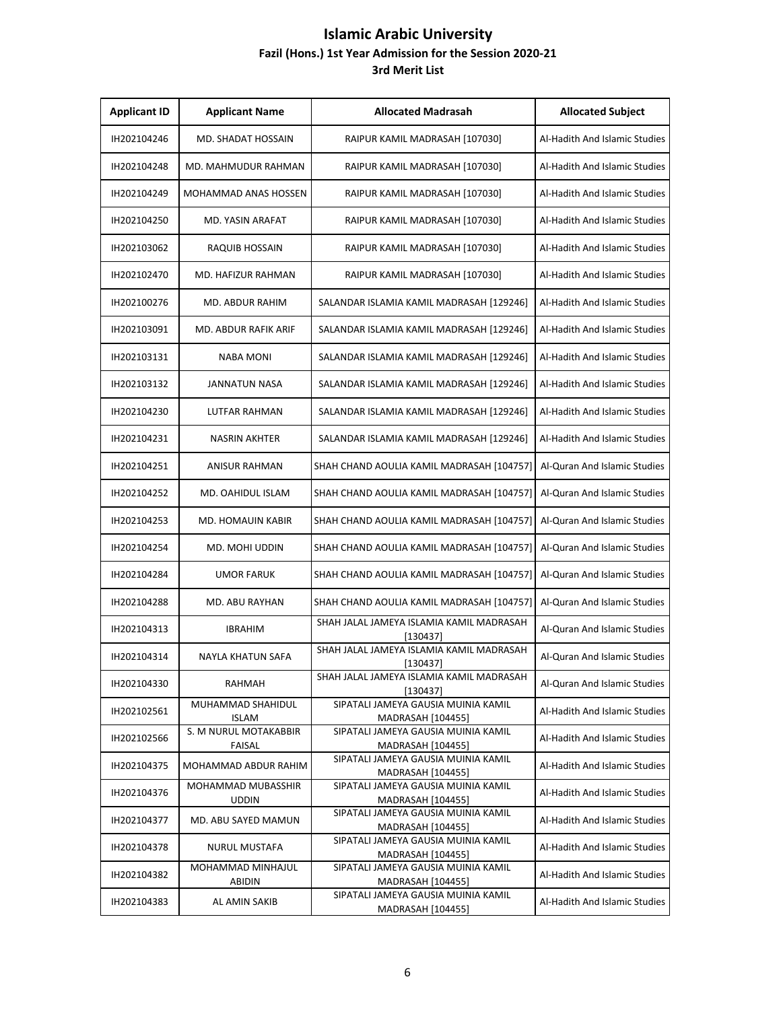| <b>Applicant ID</b> | <b>Applicant Name</b>              | <b>Allocated Madrasah</b>                                | <b>Allocated Subject</b>      |
|---------------------|------------------------------------|----------------------------------------------------------|-------------------------------|
| IH202104246         | MD. SHADAT HOSSAIN                 | RAIPUR KAMIL MADRASAH [107030]                           | Al-Hadith And Islamic Studies |
| IH202104248         | MD. MAHMUDUR RAHMAN                | RAIPUR KAMIL MADRASAH [107030]                           | Al-Hadith And Islamic Studies |
| IH202104249         | MOHAMMAD ANAS HOSSEN               | RAIPUR KAMIL MADRASAH [107030]                           | Al-Hadith And Islamic Studies |
| IH202104250         | MD. YASIN ARAFAT                   | RAIPUR KAMIL MADRASAH [107030]                           | Al-Hadith And Islamic Studies |
| IH202103062         | RAQUIB HOSSAIN                     | RAIPUR KAMIL MADRASAH [107030]                           | Al-Hadith And Islamic Studies |
| IH202102470         | MD. HAFIZUR RAHMAN                 | RAIPUR KAMIL MADRASAH [107030]                           | Al-Hadith And Islamic Studies |
| IH202100276         | MD. ABDUR RAHIM                    | SALANDAR ISLAMIA KAMIL MADRASAH [129246]                 | Al-Hadith And Islamic Studies |
| IH202103091         | MD. ABDUR RAFIK ARIF               | SALANDAR ISLAMIA KAMIL MADRASAH [129246]                 | Al-Hadith And Islamic Studies |
| IH202103131         | <b>NABA MONI</b>                   | SALANDAR ISLAMIA KAMIL MADRASAH [129246]                 | Al-Hadith And Islamic Studies |
| IH202103132         | <b>JANNATUN NASA</b>               | SALANDAR ISLAMIA KAMIL MADRASAH [129246]                 | Al-Hadith And Islamic Studies |
| IH202104230         | LUTFAR RAHMAN                      | SALANDAR ISLAMIA KAMIL MADRASAH [129246]                 | Al-Hadith And Islamic Studies |
| IH202104231         | <b>NASRIN AKHTER</b>               | SALANDAR ISLAMIA KAMIL MADRASAH [129246]                 | Al-Hadith And Islamic Studies |
| IH202104251         | <b>ANISUR RAHMAN</b>               | SHAH CHAND AOULIA KAMIL MADRASAH [104757]                | Al-Quran And Islamic Studies  |
| IH202104252         | MD. OAHIDUL ISLAM                  | SHAH CHAND AOULIA KAMIL MADRASAH [104757]                | Al-Quran And Islamic Studies  |
| IH202104253         | <b>MD. HOMAUIN KABIR</b>           | SHAH CHAND AOULIA KAMIL MADRASAH [104757]                | Al-Quran And Islamic Studies  |
| IH202104254         | MD. MOHI UDDIN                     | SHAH CHAND AOULIA KAMIL MADRASAH [104757]                | Al-Quran And Islamic Studies  |
| IH202104284         | <b>UMOR FARUK</b>                  | SHAH CHAND AOULIA KAMIL MADRASAH [104757]                | Al-Quran And Islamic Studies  |
| IH202104288         | <b>MD. ABU RAYHAN</b>              | SHAH CHAND AOULIA KAMIL MADRASAH [104757]                | Al-Quran And Islamic Studies  |
| IH202104313         | <b>IBRAHIM</b>                     | SHAH JALAL JAMEYA ISLAMIA KAMIL MADRASAH<br>[130437]     | Al-Quran And Islamic Studies  |
| IH202104314         | NAYLA KHATUN SAFA                  | SHAH JALAL JAMEYA ISLAMIA KAMIL MADRASAH<br>[130437]     | Al-Quran And Islamic Studies  |
| IH202104330         | RAHMAH                             | SHAH JALAL JAMEYA ISLAMIA KAMIL MADRASAH<br>[130437]     | Al-Quran And Islamic Studies  |
| IH202102561         | MUHAMMAD SHAHIDUL<br><b>ISLAM</b>  | SIPATALI JAMEYA GAUSIA MUINIA KAMIL<br>MADRASAH [104455] | Al-Hadith And Islamic Studies |
| IH202102566         | S. M NURUL MOTAKABBIR<br>FAISAL    | SIPATALI JAMEYA GAUSIA MUINIA KAMIL<br>MADRASAH [104455] | Al-Hadith And Islamic Studies |
| IH202104375         | MOHAMMAD ABDUR RAHIM               | SIPATALI JAMEYA GAUSIA MUINIA KAMIL<br>MADRASAH [104455] | Al-Hadith And Islamic Studies |
| IH202104376         | MOHAMMAD MUBASSHIR<br><b>UDDIN</b> | SIPATALI JAMEYA GAUSIA MUINIA KAMIL<br>MADRASAH [104455] | Al-Hadith And Islamic Studies |
| IH202104377         | MD. ABU SAYED MAMUN                | SIPATALI JAMEYA GAUSIA MUINIA KAMIL<br>MADRASAH [104455] | Al-Hadith And Islamic Studies |
| IH202104378         | NURUL MUSTAFA                      | SIPATALI JAMEYA GAUSIA MUINIA KAMIL<br>MADRASAH [104455] | Al-Hadith And Islamic Studies |
| IH202104382         | MOHAMMAD MINHAJUL<br><b>ABIDIN</b> | SIPATALI JAMEYA GAUSIA MUINIA KAMIL<br>MADRASAH [104455] | Al-Hadith And Islamic Studies |
| IH202104383         | AL AMIN SAKIB                      | SIPATALI JAMEYA GAUSIA MUINIA KAMIL<br>MADRASAH [104455] | Al-Hadith And Islamic Studies |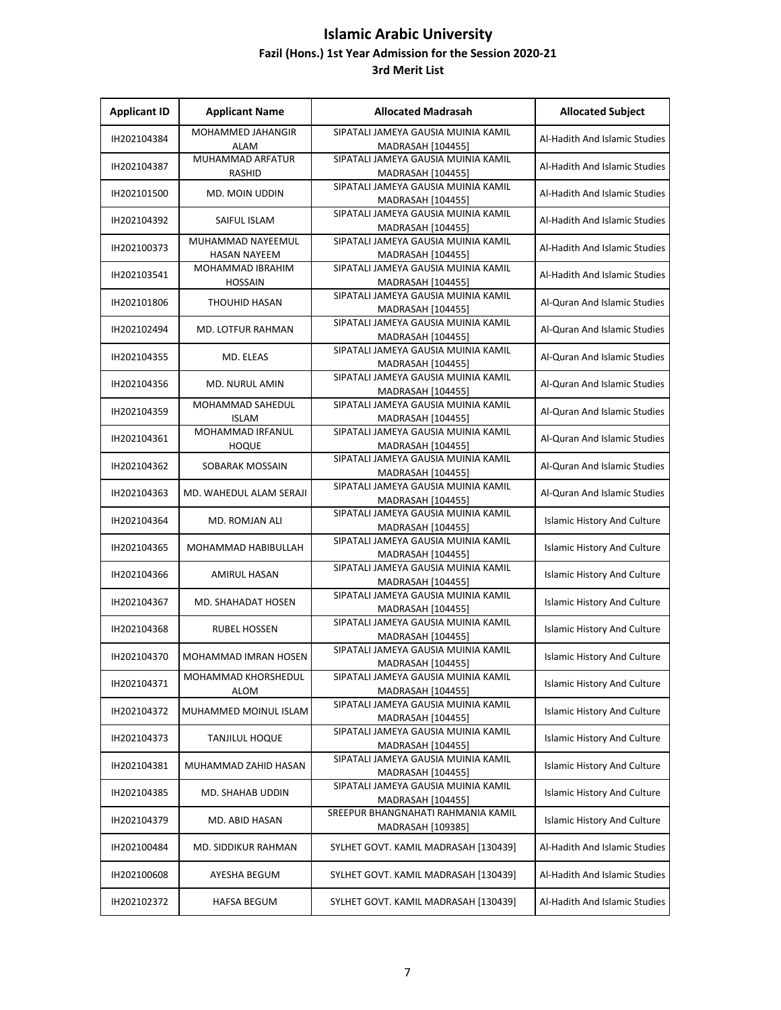| <b>Applicant ID</b> | <b>Applicant Name</b>                    | <b>Allocated Madrasah</b>                                       | <b>Allocated Subject</b>           |
|---------------------|------------------------------------------|-----------------------------------------------------------------|------------------------------------|
| IH202104384         | <b>MOHAMMED JAHANGIR</b><br>ALAM         | SIPATALI JAMEYA GAUSIA MUINIA KAMIL<br>MADRASAH [104455]        | Al-Hadith And Islamic Studies      |
| IH202104387         | <b>MUHAMMAD ARFATUR</b><br><b>RASHID</b> | SIPATALI JAMEYA GAUSIA MUINIA KAMIL<br>MADRASAH [104455]        | Al-Hadith And Islamic Studies      |
| IH202101500         | MD. MOIN UDDIN                           | SIPATALI JAMEYA GAUSIA MUINIA KAMIL<br>MADRASAH [104455]        | Al-Hadith And Islamic Studies      |
| IH202104392         | SAIFUL ISLAM                             | SIPATALI JAMEYA GAUSIA MUINIA KAMIL<br><b>MADRASAH [104455]</b> | Al-Hadith And Islamic Studies      |
| IH202100373         | MUHAMMAD NAYEEMUL<br><b>HASAN NAYEEM</b> | SIPATALI JAMEYA GAUSIA MUINIA KAMIL<br>MADRASAH [104455]        | Al-Hadith And Islamic Studies      |
| IH202103541         | MOHAMMAD IBRAHIM<br><b>HOSSAIN</b>       | SIPATALI JAMEYA GAUSIA MUINIA KAMIL<br>MADRASAH [104455]        | Al-Hadith And Islamic Studies      |
| IH202101806         | THOUHID HASAN                            | SIPATALI JAMEYA GAUSIA MUINIA KAMIL<br>MADRASAH [104455]        | Al-Quran And Islamic Studies       |
| IH202102494         | <b>MD. LOTFUR RAHMAN</b>                 | SIPATALI JAMEYA GAUSIA MUINIA KAMIL<br>MADRASAH [104455]        | Al-Quran And Islamic Studies       |
| IH202104355         | MD. ELEAS                                | SIPATALI JAMEYA GAUSIA MUINIA KAMIL<br>MADRASAH [104455]        | Al-Quran And Islamic Studies       |
| IH202104356         | MD. NURUL AMIN                           | SIPATALI JAMEYA GAUSIA MUINIA KAMIL<br>MADRASAH [104455]        | Al-Quran And Islamic Studies       |
| IH202104359         | MOHAMMAD SAHEDUL<br><b>ISLAM</b>         | SIPATALI JAMEYA GAUSIA MUINIA KAMIL<br>MADRASAH [104455]        | Al-Quran And Islamic Studies       |
| IH202104361         | MOHAMMAD IRFANUL<br><b>HOQUE</b>         | SIPATALI JAMEYA GAUSIA MUINIA KAMIL<br>MADRASAH [104455]        | Al-Quran And Islamic Studies       |
| IH202104362         | SOBARAK MOSSAIN                          | SIPATALI JAMEYA GAUSIA MUINIA KAMIL<br>MADRASAH [104455]        | Al-Quran And Islamic Studies       |
| IH202104363         | MD. WAHEDUL ALAM SERAJI                  | SIPATALI JAMEYA GAUSIA MUINIA KAMIL<br>MADRASAH [104455]        | Al-Quran And Islamic Studies       |
| IH202104364         | MD. ROMJAN ALI                           | SIPATALI JAMEYA GAUSIA MUINIA KAMIL<br>MADRASAH [104455]        | Islamic History And Culture        |
| IH202104365         | MOHAMMAD HABIBULLAH                      | SIPATALI JAMEYA GAUSIA MUINIA KAMIL<br>MADRASAH [104455]        | <b>Islamic History And Culture</b> |
| IH202104366         | <b>AMIRUL HASAN</b>                      | SIPATALI JAMEYA GAUSIA MUINIA KAMIL<br>MADRASAH [104455]        | <b>Islamic History And Culture</b> |
| IH202104367         | MD. SHAHADAT HOSEN                       | SIPATALI JAMEYA GAUSIA MUINIA KAMIL<br>MADRASAH [104455]        | <b>Islamic History And Culture</b> |
| IH202104368         | RUBEL HOSSEN                             | SIPATALI JAMEYA GAUSIA MUINIA KAMIL<br>MADRASAH [104455]        | <b>Islamic History And Culture</b> |
| IH202104370         | MOHAMMAD IMRAN HOSEN                     | SIPATALI JAMEYA GAUSIA MUINIA KAMIL<br>MADRASAH [104455]        | <b>Islamic History And Culture</b> |
| IH202104371         | MOHAMMAD KHORSHEDUL<br><b>ALOM</b>       | SIPATALI JAMEYA GAUSIA MUINIA KAMIL<br>MADRASAH [104455]        | <b>Islamic History And Culture</b> |
| IH202104372         | MUHAMMED MOINUL ISLAM                    | SIPATALI JAMEYA GAUSIA MUINIA KAMIL<br>MADRASAH [104455]        | <b>Islamic History And Culture</b> |
| IH202104373         | <b>TANJILUL HOQUE</b>                    | SIPATALI JAMEYA GAUSIA MUINIA KAMIL<br>MADRASAH [104455]        | <b>Islamic History And Culture</b> |
| IH202104381         | MUHAMMAD ZAHID HASAN                     | SIPATALI JAMEYA GAUSIA MUINIA KAMIL<br>MADRASAH [104455]        | <b>Islamic History And Culture</b> |
| IH202104385         | MD. SHAHAB UDDIN                         | SIPATALI JAMEYA GAUSIA MUINIA KAMIL<br>MADRASAH [104455]        | Islamic History And Culture        |
| IH202104379         | MD. ABID HASAN                           | SREEPUR BHANGNAHATI RAHMANIA KAMIL<br>MADRASAH [109385]         | <b>Islamic History And Culture</b> |
| IH202100484         | MD. SIDDIKUR RAHMAN                      | SYLHET GOVT. KAMIL MADRASAH [130439]                            | Al-Hadith And Islamic Studies      |
| IH202100608         | AYESHA BEGUM                             | SYLHET GOVT. KAMIL MADRASAH [130439]                            | Al-Hadith And Islamic Studies      |
| IH202102372         | HAFSA BEGUM                              | SYLHET GOVT. KAMIL MADRASAH [130439]                            | Al-Hadith And Islamic Studies      |